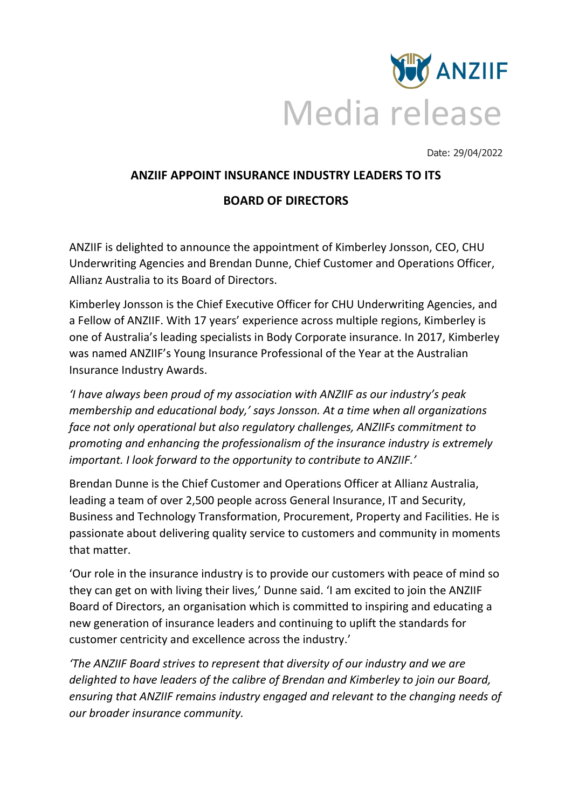

Date: 29/04/2022

## **ANZIIF APPOINT INSURANCE INDUSTRY LEADERS TO ITS**

## **BOARD OF DIRECTORS**

ANZIIF is delighted to announce the appointment of Kimberley Jonsson, CEO, CHU Underwriting Agencies and Brendan Dunne, Chief Customer and Operations Officer, Allianz Australia to its Board of Directors.

Kimberley Jonsson is the Chief Executive Officer for CHU Underwriting Agencies, and a Fellow of ANZIIF. With 17 years' experience across multiple regions, Kimberley is one of Australia's leading specialists in Body Corporate insurance. In 2017, Kimberley was named ANZIIF's Young Insurance Professional of the Year at the Australian Insurance Industry Awards.

*'I have always been proud of my association with ANZIIF as our industry's peak membership and educational body,' says Jonsson. At a time when all organizations face not only operational but also regulatory challenges, ANZIIFs commitment to promoting and enhancing the professionalism of the insurance industry is extremely important. I look forward to the opportunity to contribute to ANZIIF.'*

Brendan Dunne is the Chief Customer and Operations Officer at Allianz Australia, leading a team of over 2,500 people across General Insurance, IT and Security, Business and Technology Transformation, Procurement, Property and Facilities. He is passionate about delivering quality service to customers and community in moments that matter.

'Our role in the insurance industry is to provide our customers with peace of mind so they can get on with living their lives,' Dunne said. 'I am excited to join the ANZIIF Board of Directors, an organisation which is committed to inspiring and educating a new generation of insurance leaders and continuing to uplift the standards for customer centricity and excellence across the industry.'

*'The ANZIIF Board strives to represent that diversity of our industry and we are delighted to have leaders of the calibre of Brendan and Kimberley to join our Board, ensuring that ANZIIF remains industry engaged and relevant to the changing needs of our broader insurance community.*